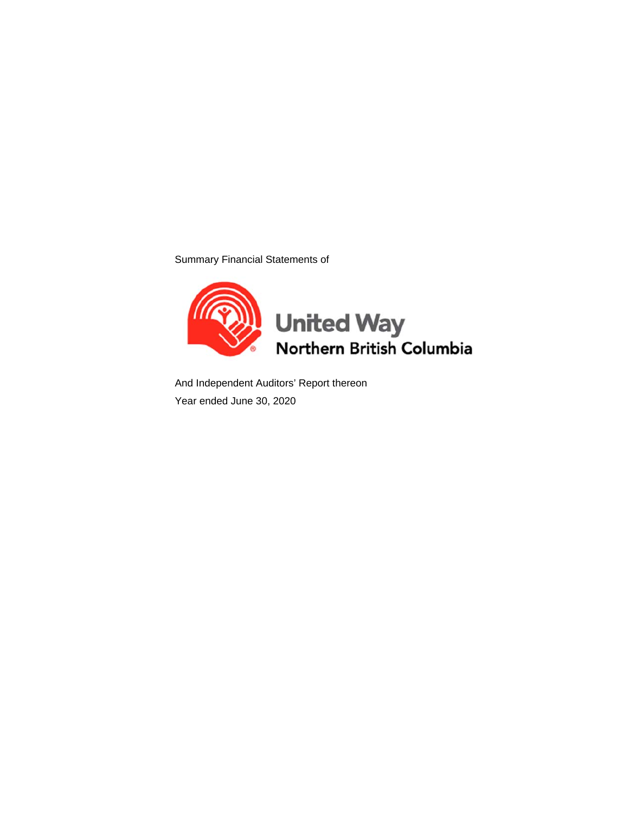Summary Financial Statements of



And Independent Auditors' Report thereon Year ended June 30, 2020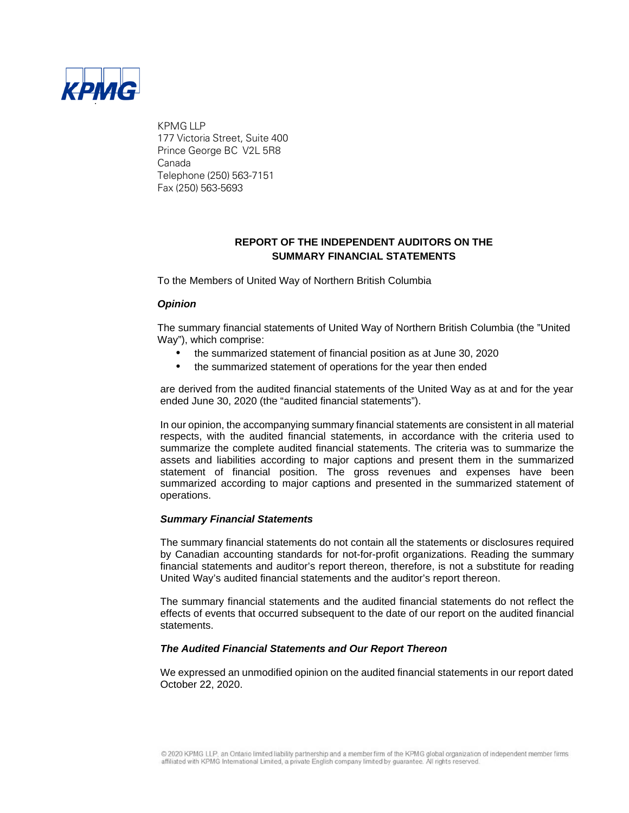

KPMG LLP 177 Victoria Street, Suite 400 Prince George BC V2L 5R8 Canada Telephone (250) 563-7151 Fax (250) 563-5693

## **REPORT OF THE INDEPENDENT AUDITORS ON THE SUMMARY FINANCIAL STATEMENTS**

To the Members of United Way of Northern British Columbia

#### *Opinion*

The summary financial statements of United Way of Northern British Columbia (the "United Way"), which comprise:

- the summarized statement of financial position as at June 30, 2020
- the summarized statement of operations for the year then ended

are derived from the audited financial statements of the United Way as at and for the year ended June 30, 2020 (the "audited financial statements").

In our opinion, the accompanying summary financial statements are consistent in all material respects, with the audited financial statements, in accordance with the criteria used to summarize the complete audited financial statements. The criteria was to summarize the assets and liabilities according to major captions and present them in the summarized statement of financial position. The gross revenues and expenses have been summarized according to major captions and presented in the summarized statement of operations.

#### *Summary Financial Statements*

The summary financial statements do not contain all the statements or disclosures required by Canadian accounting standards for not-for-profit organizations. Reading the summary financial statements and auditor's report thereon, therefore, is not a substitute for reading United Way's audited financial statements and the auditor's report thereon.

The summary financial statements and the audited financial statements do not reflect the effects of events that occurred subsequent to the date of our report on the audited financial statements.

#### *The Audited Financial Statements and Our Report Thereon*

We expressed an unmodified opinion on the audited financial statements in our report dated October 22, 2020.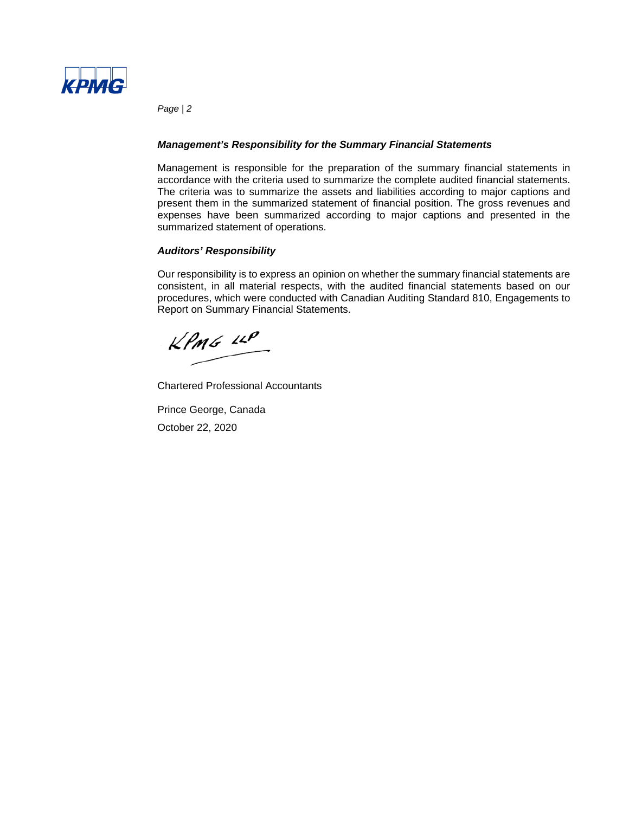

*Page | 2*

#### *Management's Responsibility for the Summary Financial Statements*

Management is responsible for the preparation of the summary financial statements in accordance with the criteria used to summarize the complete audited financial statements. The criteria was to summarize the assets and liabilities according to major captions and present them in the summarized statement of financial position. The gross revenues and expenses have been summarized according to major captions and presented in the summarized statement of operations.

#### *Auditors' Responsibility*

Our responsibility is to express an opinion on whether the summary financial statements are consistent, in all material respects, with the audited financial statements based on our procedures, which were conducted with Canadian Auditing Standard 810, Engagements to Report on Summary Financial Statements.

 $KPMG$  14P

Chartered Professional Accountants

Prince George, Canada October 22, 2020